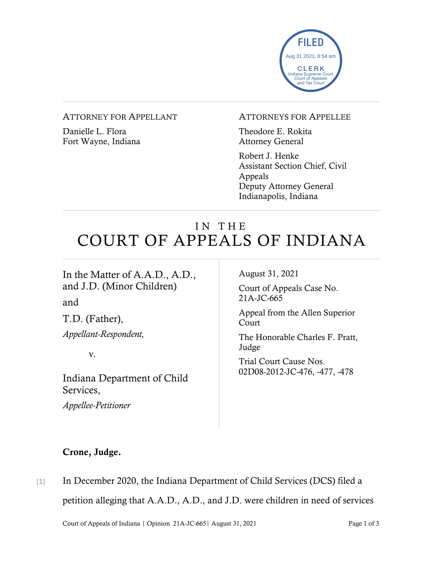

## ATTORNEY FOR APPELLANT

Danielle L. Flora Fort Wayne, Indiana

## ATTORNEYS FOR APPELLEE

Theodore E. Rokita Attorney General

Robert J. Henke Assistant Section Chief, Civil Appeals Deputy Attorney General Indianapolis, Indiana

## IN THE COURT OF APPEALS OF INDIANA

In the Matter of A.A.D., A.D., and J.D. (Minor Children)

and

T.D. (Father),

*Appellant-Respondent,*

v.

Indiana Department of Child Services,

*Appellee-Petitioner*

August 31, 2021

Court of Appeals Case No. 21A-JC-665

Appeal from the Allen Superior Court

The Honorable Charles F. Pratt, Judge

Trial Court Cause Nos. 02D08-2012-JC-476, -477, -478

## Crone, Judge.

[1] In December 2020, the Indiana Department of Child Services (DCS) filed a petition alleging that A.A.D., A.D., and J.D. were children in need of services

Court of Appeals of Indiana | Opinion 21A-JC-665| August 31, 2021 Page 1 of 3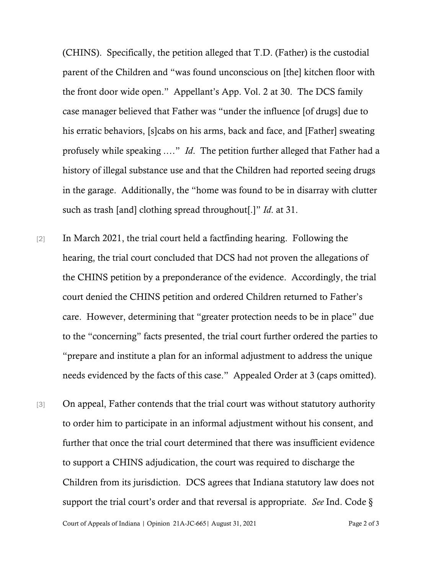(CHINS). Specifically, the petition alleged that T.D. (Father) is the custodial parent of the Children and "was found unconscious on [the] kitchen floor with the front door wide open." Appellant's App. Vol. 2 at 30. The DCS family case manager believed that Father was "under the influence [of drugs] due to his erratic behaviors, [s]cabs on his arms, back and face, and [Father] sweating profusely while speaking .…" *Id*. The petition further alleged that Father had a history of illegal substance use and that the Children had reported seeing drugs in the garage. Additionally, the "home was found to be in disarray with clutter such as trash [and] clothing spread throughout[.]" *Id*. at 31.

- [2] In March 2021, the trial court held a factfinding hearing. Following the hearing, the trial court concluded that DCS had not proven the allegations of the CHINS petition by a preponderance of the evidence. Accordingly, the trial court denied the CHINS petition and ordered Children returned to Father's care. However, determining that "greater protection needs to be in place" due to the "concerning" facts presented, the trial court further ordered the parties to "prepare and institute a plan for an informal adjustment to address the unique needs evidenced by the facts of this case." Appealed Order at 3 (caps omitted).
- [3] On appeal, Father contends that the trial court was without statutory authority to order him to participate in an informal adjustment without his consent, and further that once the trial court determined that there was insufficient evidence to support a CHINS adjudication, the court was required to discharge the Children from its jurisdiction. DCS agrees that Indiana statutory law does not support the trial court's order and that reversal is appropriate. *See* Ind. Code §

Court of Appeals of Indiana | Opinion 21A-JC-665| August 31, 2021 Page 2 of 3